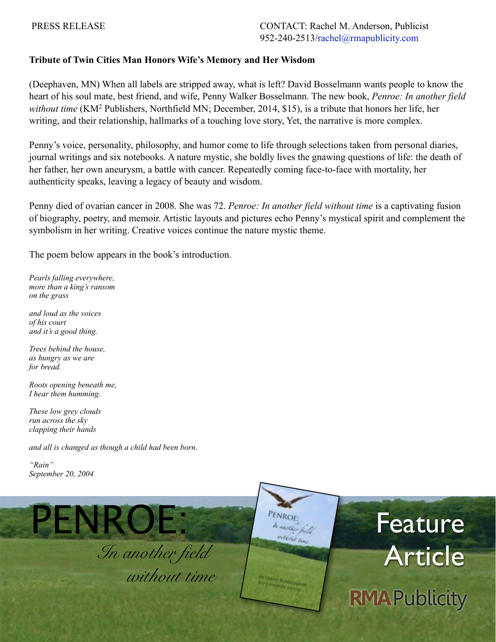## **Tribute of Twin Cities Man Honors Wife's Memory and Her Wisdom**

(Deephaven, MN) When all labels are stripped away, what is left? David Bosselmann wants people to know the heart of his soul mate, best friend, and wife, Penny Walker Bosselmann. The new book, *Penroe: In another field without time* (KM2 Publishers, Northfield MN; December, 2014, \$15), is a tribute that honors her life, her writing, and their relationship, hallmarks of a touching love story, Yet, the narrative is more complex.

Penny's voice, personality, philosophy, and humor come to life through selections taken from personal diaries, journal writings and six notebooks. A nature mystic, she boldly lives the gnawing questions of life: the death of her father, her own aneurysm, a battle with cancer. Repeatedly coming face-to-face with mortality, her authenticity speaks, leaving a legacy of beauty and wisdom.

Penny died of ovarian cancer in 2008. She was 72. *Penroe: In another field without time* is a captivating fusion of biography, poetry, and memoir. Artistic layouts and pictures echo Penny's mystical spirit and complement the symbolism in her writing. Creative voices continue the nature mystic theme.

The poem below appears in the book's introduction.

*Pearls falling everywhere, more than a king's ransom on the grass*

*and loud as the voices of his court and it's a good thing.*

*Trees behind the house, as hungry as we are for bread.*

*Roots opening beneath me, I hear them humming.*

*These low grey clouds run across the sky clapping their hands*

*and all is changed as though a child had been born.*

*"Rain" September 20, 2004*

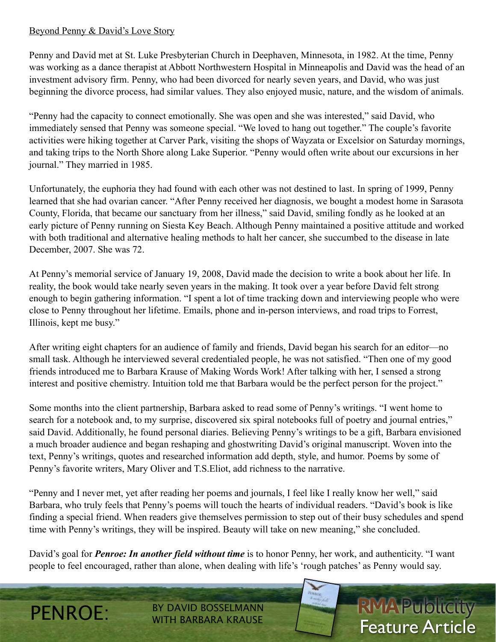## Beyond Penny & David's Love Story

Penny and David met at St. Luke Presbyterian Church in Deephaven, Minnesota, in 1982. At the time, Penny was working as a dance therapist at Abbott Northwestern Hospital in Minneapolis and David was the head of an investment advisory firm. Penny, who had been divorced for nearly seven years, and David, who was just beginning the divorce process, had similar values. They also enjoyed music, nature, and the wisdom of animals.

"Penny had the capacity to connect emotionally. She was open and she was interested," said David, who immediately sensed that Penny was someone special. "We loved to hang out together." The couple's favorite activities were hiking together at Carver Park, visiting the shops of Wayzata or Excelsior on Saturday mornings, and taking trips to the North Shore along Lake Superior. "Penny would often write about our excursions in her journal." They married in 1985.

Unfortunately, the euphoria they had found with each other was not destined to last. In spring of 1999, Penny learned that she had ovarian cancer. "After Penny received her diagnosis, we bought a modest home in Sarasota County, Florida, that became our sanctuary from her illness," said David, smiling fondly as he looked at an early picture of Penny running on Siesta Key Beach. Although Penny maintained a positive attitude and worked with both traditional and alternative healing methods to halt her cancer, she succumbed to the disease in late December, 2007. She was 72.

At Penny's memorial service of January 19, 2008, David made the decision to write a book about her life. In reality, the book would take nearly seven years in the making. It took over a year before David felt strong enough to begin gathering information. "I spent a lot of time tracking down and interviewing people who were close to Penny throughout her lifetime. Emails, phone and in-person interviews, and road trips to Forrest, Illinois, kept me busy."

After writing eight chapters for an audience of family and friends, David began his search for an editor—no small task. Although he interviewed several credentialed people, he was not satisfied. "Then one of my good friends introduced me to Barbara Krause of Making Words Work! After talking with her, I sensed a strong interest and positive chemistry. Intuition told me that Barbara would be the perfect person for the project."

Some months into the client partnership, Barbara asked to read some of Penny's writings. "I went home to search for a notebook and, to my surprise, discovered six spiral notebooks full of poetry and journal entries," said David. Additionally, he found personal diaries. Believing Penny's writings to be a gift, Barbara envisioned a much broader audience and began reshaping and ghostwriting David's original manuscript. Woven into the text, Penny's writings, quotes and researched information add depth, style, and humor. Poems by some of Penny's favorite writers, Mary Oliver and T.S.Eliot, add richness to the narrative.

"Penny and I never met, yet after reading her poems and journals, I feel like I really know her well," said Barbara, who truly feels that Penny's poems will touch the hearts of individual readers. "David's book is like finding a special friend. When readers give themselves permission to step out of their busy schedules and spend time with Penny's writings, they will be inspired. Beauty will take on new meaning," she concluded.

David's goal for *Penroe: In another field without time* is to honor Penny, her work, and authenticity. "I want people to feel encouraged, rather than alone, when dealing with life's 'rough patches' as Penny would say.

**RMAPublicity**<br>Feature Article

PENROE: BY DAVID BOSSELMANN